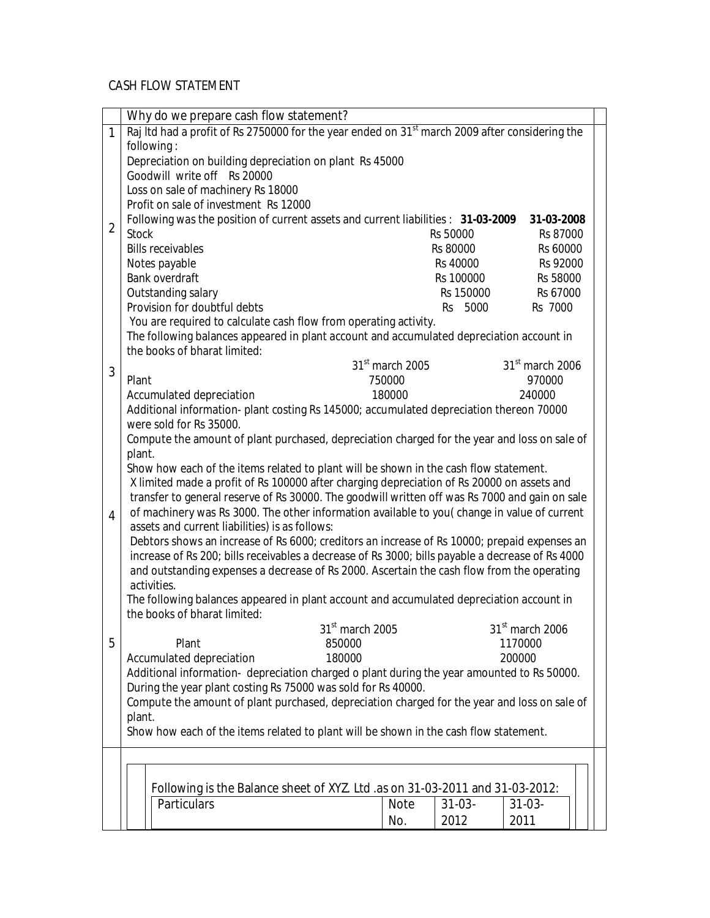## CASH FLOW STATEMENT

|                | Why do we prepare cash flow statement?                                                                                                                                                       |                             |             |                             |  |
|----------------|----------------------------------------------------------------------------------------------------------------------------------------------------------------------------------------------|-----------------------------|-------------|-----------------------------|--|
| $\mathbf{1}$   | Raj Itd had a profit of Rs 2750000 for the year ended on 31 <sup>st</sup> march 2009 after considering the                                                                                   |                             |             |                             |  |
|                | following:                                                                                                                                                                                   |                             |             |                             |  |
|                | Depreciation on building depreciation on plant Rs 45000                                                                                                                                      |                             |             |                             |  |
|                | Goodwill write off Rs 20000                                                                                                                                                                  |                             |             |                             |  |
|                | Loss on sale of machinery Rs 18000                                                                                                                                                           |                             |             |                             |  |
|                | Profit on sale of investment Rs 12000                                                                                                                                                        |                             |             |                             |  |
|                | Following was the position of current assets and current liabilities : 31-03-2009                                                                                                            |                             |             | 31-03-2008                  |  |
| $\overline{2}$ | <b>Stock</b>                                                                                                                                                                                 |                             | Rs 50000    | Rs 87000                    |  |
|                | <b>Bills receivables</b>                                                                                                                                                                     |                             | Rs 80000    | Rs 60000                    |  |
|                | Notes payable                                                                                                                                                                                |                             | Rs 40000    | Rs 92000                    |  |
|                | Bank overdraft                                                                                                                                                                               |                             | Rs 100000   | Rs 58000                    |  |
|                | Outstanding salary                                                                                                                                                                           |                             | Rs 150000   | Rs 67000                    |  |
|                | Provision for doubtful debts                                                                                                                                                                 |                             | Rs 5000     | Rs 7000                     |  |
|                | You are required to calculate cash flow from operating activity.                                                                                                                             |                             |             |                             |  |
|                | The following balances appeared in plant account and accumulated depreciation account in                                                                                                     |                             |             |                             |  |
|                | the books of bharat limited:                                                                                                                                                                 |                             |             |                             |  |
|                |                                                                                                                                                                                              | 31 <sup>st</sup> march 2005 |             | $31st$ march 2006           |  |
| 3              | Plant                                                                                                                                                                                        | 750000                      |             | 970000                      |  |
|                |                                                                                                                                                                                              | 180000                      |             | 240000                      |  |
|                | Accumulated depreciation<br>Additional information- plant costing Rs 145000; accumulated depreciation thereon 70000                                                                          |                             |             |                             |  |
|                | were sold for Rs 35000.                                                                                                                                                                      |                             |             |                             |  |
|                |                                                                                                                                                                                              |                             |             |                             |  |
|                | Compute the amount of plant purchased, depreciation charged for the year and loss on sale of                                                                                                 |                             |             |                             |  |
|                | plant.<br>Show how each of the items related to plant will be shown in the cash flow statement.                                                                                              |                             |             |                             |  |
|                |                                                                                                                                                                                              |                             |             |                             |  |
|                | X limited made a profit of Rs 100000 after charging depreciation of Rs 20000 on assets and<br>transfer to general reserve of Rs 30000. The goodwill written off was Rs 7000 and gain on sale |                             |             |                             |  |
|                | of machinery was Rs 3000. The other information available to you(change in value of current                                                                                                  |                             |             |                             |  |
| $\overline{4}$ | assets and current liabilities) is as follows:                                                                                                                                               |                             |             |                             |  |
|                | Debtors shows an increase of Rs 6000; creditors an increase of Rs 10000; prepaid expenses an                                                                                                 |                             |             |                             |  |
|                | increase of Rs 200; bills receivables a decrease of Rs 3000; bills payable a decrease of Rs 4000                                                                                             |                             |             |                             |  |
|                | and outstanding expenses a decrease of Rs 2000. Ascertain the cash flow from the operating                                                                                                   |                             |             |                             |  |
|                | activities.                                                                                                                                                                                  |                             |             |                             |  |
|                | The following balances appeared in plant account and accumulated depreciation account in                                                                                                     |                             |             |                             |  |
|                | the books of bharat limited:                                                                                                                                                                 |                             |             |                             |  |
|                | 31 <sup>st</sup> march 2005                                                                                                                                                                  |                             |             | 31 <sup>st</sup> march 2006 |  |
| 5              | Plant                                                                                                                                                                                        |                             |             |                             |  |
|                | 850000<br>Accumulated depreciation<br>180000                                                                                                                                                 |                             |             | 1170000<br>200000           |  |
|                |                                                                                                                                                                                              |                             |             |                             |  |
|                | Additional information- depreciation charged o plant during the year amounted to Rs 50000.                                                                                                   |                             |             |                             |  |
|                | During the year plant costing Rs 75000 was sold for Rs 40000.                                                                                                                                |                             |             |                             |  |
|                | Compute the amount of plant purchased, depreciation charged for the year and loss on sale of                                                                                                 |                             |             |                             |  |
|                | plant.                                                                                                                                                                                       |                             |             |                             |  |
|                | Show how each of the items related to plant will be shown in the cash flow statement.                                                                                                        |                             |             |                             |  |
|                |                                                                                                                                                                                              |                             |             |                             |  |
|                |                                                                                                                                                                                              |                             |             |                             |  |
|                | Following is the Balance sheet of XYZ. Ltd .as on 31-03-2011 and 31-03-2012:                                                                                                                 |                             |             |                             |  |
|                | Particulars                                                                                                                                                                                  |                             |             |                             |  |
|                |                                                                                                                                                                                              | <b>Note</b>                 | $31 - 03 -$ | $31 - 03 -$                 |  |
|                |                                                                                                                                                                                              | No.                         | 2012        | 2011                        |  |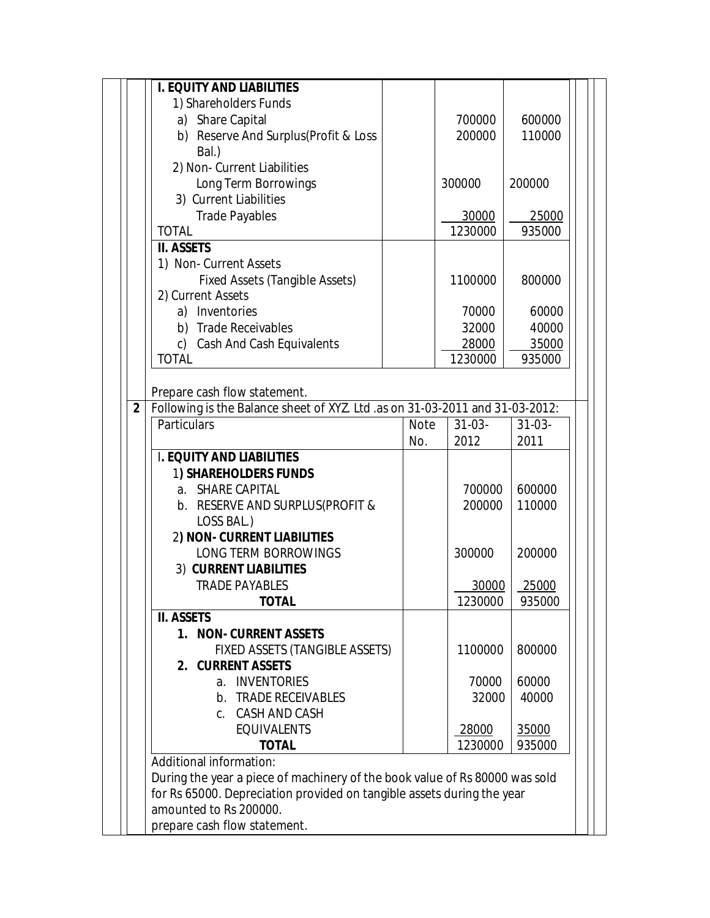|                | <b>I. EQUITY AND LIABILITIES</b>                                             |                                     |     |         |        |  |  |  |
|----------------|------------------------------------------------------------------------------|-------------------------------------|-----|---------|--------|--|--|--|
|                | 1) Shareholders Funds                                                        |                                     |     |         |        |  |  |  |
|                | a) Share Capital                                                             |                                     |     | 700000  | 600000 |  |  |  |
|                | b) Reserve And Surplus(Profit & Loss                                         |                                     |     | 200000  | 110000 |  |  |  |
|                | Bal.)                                                                        |                                     |     |         |        |  |  |  |
|                | 2) Non- Current Liabilities                                                  |                                     |     |         |        |  |  |  |
|                | Long Term Borrowings                                                         |                                     |     | 300000  | 200000 |  |  |  |
|                | 3) Current Liabilities                                                       |                                     |     |         |        |  |  |  |
|                | <b>Trade Payables</b>                                                        |                                     |     | 30000   | 25000  |  |  |  |
|                | <b>TOTAL</b>                                                                 |                                     |     | 1230000 | 935000 |  |  |  |
|                | <b>II. ASSETS</b>                                                            |                                     |     |         |        |  |  |  |
|                |                                                                              |                                     |     |         |        |  |  |  |
|                | 1) Non- Current Assets                                                       |                                     |     |         |        |  |  |  |
|                | <b>Fixed Assets (Tangible Assets)</b>                                        |                                     |     | 1100000 | 800000 |  |  |  |
|                | 2) Current Assets                                                            |                                     |     |         |        |  |  |  |
|                | a) Inventories                                                               |                                     |     | 70000   | 60000  |  |  |  |
|                | b) Trade Receivables                                                         |                                     |     | 32000   | 40000  |  |  |  |
|                | Cash And Cash Equivalents<br>C)                                              |                                     |     | 28000   | 35000  |  |  |  |
|                | <b>TOTAL</b>                                                                 | 1230000                             |     |         | 935000 |  |  |  |
|                |                                                                              |                                     |     |         |        |  |  |  |
|                | Prepare cash flow statement.                                                 |                                     |     |         |        |  |  |  |
| $\overline{2}$ | Following is the Balance sheet of XYZ. Ltd .as on 31-03-2011 and 31-03-2012: |                                     |     |         |        |  |  |  |
|                | Particulars                                                                  | $31-03-$<br>$31-03-$<br><b>Note</b> |     |         |        |  |  |  |
|                |                                                                              |                                     | No. | 2012    | 2011   |  |  |  |
|                | <b>I. EQUITY AND LIABILITIES</b>                                             |                                     |     |         |        |  |  |  |
|                | <b>1) SHAREHOLDERS FUNDS</b>                                                 |                                     |     |         |        |  |  |  |
|                | a. SHARE CAPITAL                                                             |                                     |     | 700000  | 600000 |  |  |  |
|                | b. RESERVE AND SURPLUS (PROFIT &                                             |                                     |     | 200000  | 110000 |  |  |  |
|                | LOSS BAL.)                                                                   |                                     |     |         |        |  |  |  |
|                | 2) NON- CURRENT LIABILITIES                                                  |                                     |     |         |        |  |  |  |
|                | LONG TERM BORROWINGS                                                         |                                     |     | 300000  | 200000 |  |  |  |
|                | 3) CURRENT LIABILITIES                                                       |                                     |     |         |        |  |  |  |
|                | <b>TRADE PAYABLES</b>                                                        |                                     |     | 30000   | 25000  |  |  |  |
|                | TOTAL                                                                        |                                     |     | 1230000 | 935000 |  |  |  |
|                | <b>II. ASSETS</b>                                                            |                                     |     |         |        |  |  |  |
|                | 1. NON- CURRENT ASSETS                                                       |                                     |     |         |        |  |  |  |
|                | FIXED ASSETS (TANGIBLE ASSETS)                                               |                                     |     | 1100000 | 800000 |  |  |  |
|                | 2. CURRENT ASSETS                                                            |                                     |     |         |        |  |  |  |
|                | a. INVENTORIES                                                               |                                     |     | 70000   | 60000  |  |  |  |
|                | b. TRADE RECEIVABLES                                                         |                                     |     | 32000   | 40000  |  |  |  |
|                | c. CASH AND CASH                                                             |                                     |     |         |        |  |  |  |
|                | <b>EQUIVALENTS</b>                                                           |                                     |     | 28000   | 35000  |  |  |  |
|                | <b>TOTAL</b>                                                                 |                                     |     | 1230000 | 935000 |  |  |  |
|                | Additional information:                                                      |                                     |     |         |        |  |  |  |
|                | During the year a piece of machinery of the book value of Rs 80000 was sold  |                                     |     |         |        |  |  |  |
|                |                                                                              |                                     |     |         |        |  |  |  |
|                | for Rs 65000. Depreciation provided on tangible assets during the year       |                                     |     |         |        |  |  |  |
|                | amounted to Rs 200000.                                                       |                                     |     |         |        |  |  |  |
|                | prepare cash flow statement.                                                 |                                     |     |         |        |  |  |  |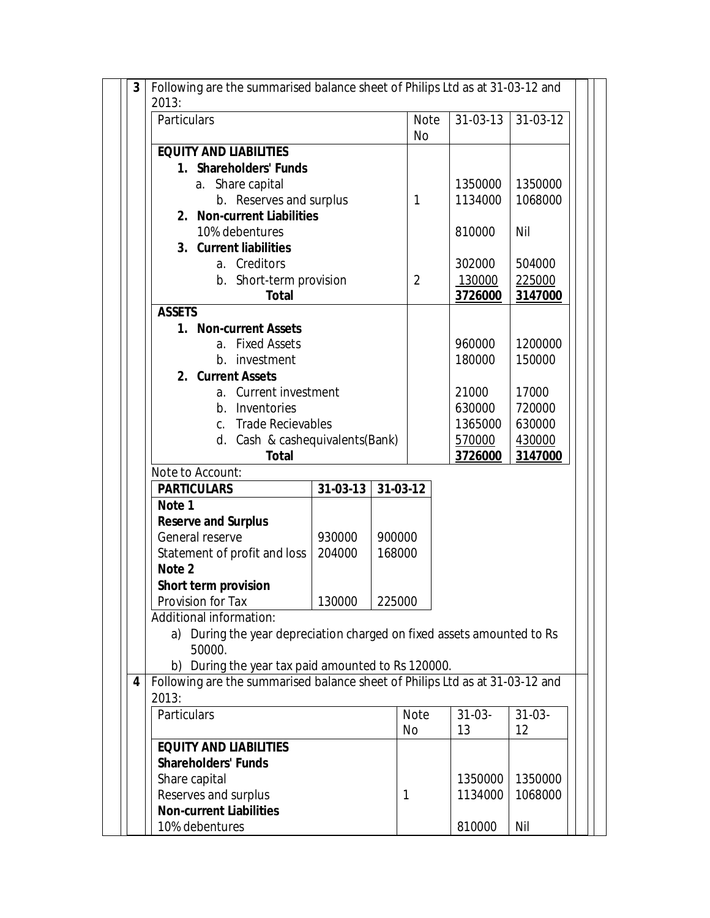| Following are the summarised balance sheet of Philips Ltd as at 31-03-12 and<br>3 |                                                                                                                                    |          |             |             |          |  |  |
|-----------------------------------------------------------------------------------|------------------------------------------------------------------------------------------------------------------------------------|----------|-------------|-------------|----------|--|--|
| 2013:                                                                             |                                                                                                                                    |          |             |             |          |  |  |
| Particulars                                                                       |                                                                                                                                    |          | <b>Note</b> | 31-03-13    | 31-03-12 |  |  |
|                                                                                   |                                                                                                                                    |          | No          |             |          |  |  |
| <b>EQUITY AND LIABILITIES</b>                                                     |                                                                                                                                    |          |             |             |          |  |  |
| 1. Shareholders' Funds                                                            |                                                                                                                                    |          |             |             |          |  |  |
| Share capital<br>а.                                                               |                                                                                                                                    |          |             | 1350000     | 1350000  |  |  |
| b. Reserves and surplus                                                           |                                                                                                                                    |          | 1           | 1134000     | 1068000  |  |  |
| 2. Non-current Liabilities                                                        |                                                                                                                                    |          |             |             |          |  |  |
| 10% debentures                                                                    |                                                                                                                                    |          |             | 810000      | Nil      |  |  |
| 3. Current liabilities                                                            |                                                                                                                                    |          |             |             |          |  |  |
| a. Creditors                                                                      |                                                                                                                                    |          |             | 302000      | 504000   |  |  |
| b. Short-term provision                                                           |                                                                                                                                    |          | 2           | 130000      | 225000   |  |  |
| <b>Total</b>                                                                      |                                                                                                                                    |          |             | 3726000     | 3147000  |  |  |
| <b>ASSETS</b>                                                                     |                                                                                                                                    |          |             |             |          |  |  |
|                                                                                   | 1. Non-current Assets                                                                                                              |          |             |             |          |  |  |
| a. Fixed Assets                                                                   |                                                                                                                                    |          |             | 960000      | 1200000  |  |  |
| b. investment                                                                     |                                                                                                                                    |          |             | 180000      | 150000   |  |  |
| 2. Current Assets                                                                 |                                                                                                                                    |          |             |             |          |  |  |
| a. Current investment                                                             |                                                                                                                                    |          |             | 21000       | 17000    |  |  |
|                                                                                   | b. Inventories                                                                                                                     |          |             | 630000      | 720000   |  |  |
| <b>Trade Recievables</b><br>$C_{\rm{eq}}$                                         |                                                                                                                                    |          |             | 1365000     | 630000   |  |  |
| d. Cash & cashequivalents(Bank)                                                   |                                                                                                                                    |          |             | 570000      | 430000   |  |  |
| <b>Total</b>                                                                      |                                                                                                                                    |          | 3726000     | 3147000     |          |  |  |
| Note to Account:                                                                  |                                                                                                                                    |          |             |             |          |  |  |
| <b>PARTICULARS</b>                                                                | $31-03-13$                                                                                                                         | 31-03-12 |             |             |          |  |  |
| Note 1                                                                            |                                                                                                                                    |          |             |             |          |  |  |
| <b>Reserve and Surplus</b>                                                        |                                                                                                                                    |          |             |             |          |  |  |
| General reserve                                                                   | 930000                                                                                                                             | 900000   |             |             |          |  |  |
| Statement of profit and loss                                                      | 204000                                                                                                                             | 168000   |             |             |          |  |  |
|                                                                                   | Note 2                                                                                                                             |          |             |             |          |  |  |
|                                                                                   | <b>Short term provision</b><br>130000                                                                                              |          |             |             |          |  |  |
| Provision for Tax                                                                 | 225000                                                                                                                             |          |             |             |          |  |  |
| Additional information:                                                           |                                                                                                                                    |          |             |             |          |  |  |
| a) During the year depreciation charged on fixed assets amounted to Rs            |                                                                                                                                    |          |             |             |          |  |  |
| 50000.                                                                            |                                                                                                                                    |          |             |             |          |  |  |
|                                                                                   | b) During the year tax paid amounted to Rs 120000.<br>Following are the summarised balance sheet of Philips Ltd as at 31-03-12 and |          |             |             |          |  |  |
| 4                                                                                 |                                                                                                                                    |          |             |             |          |  |  |
| 2013:<br>Particulars                                                              |                                                                                                                                    |          | <b>Note</b> | $31 - 03 -$ |          |  |  |
|                                                                                   |                                                                                                                                    |          |             |             | $31-03-$ |  |  |
|                                                                                   |                                                                                                                                    |          | No          | 13          | 12       |  |  |
| <b>EQUITY AND LIABILITIES</b>                                                     |                                                                                                                                    |          |             |             |          |  |  |
| <b>Shareholders' Funds</b>                                                        |                                                                                                                                    |          |             |             |          |  |  |
| Share capital                                                                     |                                                                                                                                    |          |             | 1350000     | 1350000  |  |  |
| Reserves and surplus                                                              |                                                                                                                                    | 1        |             | 1134000     | 1068000  |  |  |
| <b>Non-current Liabilities</b>                                                    |                                                                                                                                    |          |             |             |          |  |  |
| 10% debentures                                                                    |                                                                                                                                    |          |             | 810000      | Nil      |  |  |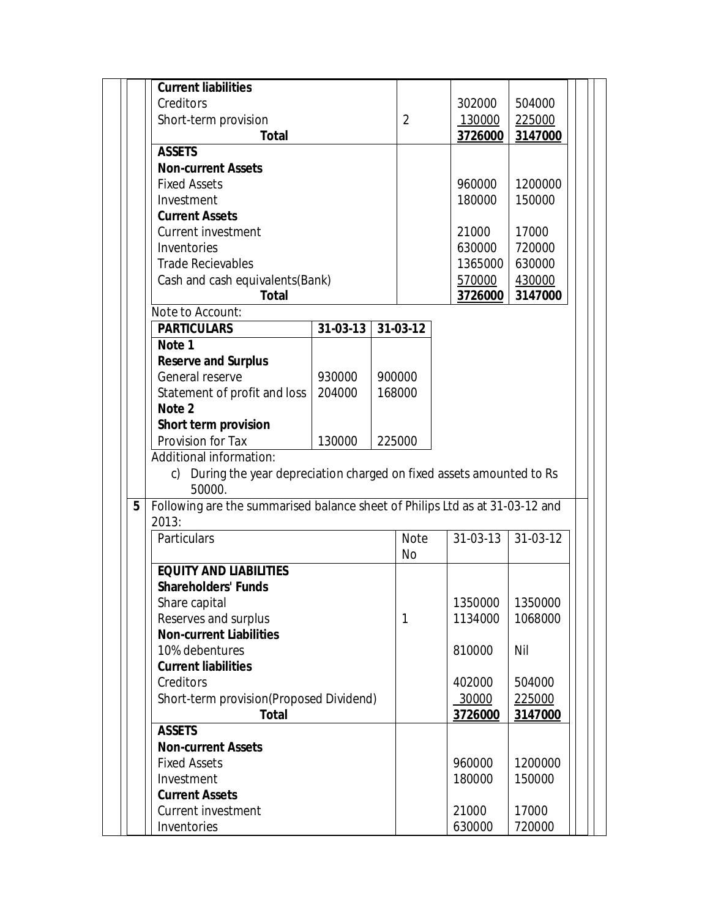| <b>Current liabilities</b>                                                                           |          |                  |                |                |          |
|------------------------------------------------------------------------------------------------------|----------|------------------|----------------|----------------|----------|
| Creditors                                                                                            |          |                  |                | 302000         | 504000   |
| Short-term provision                                                                                 |          |                  | $\overline{2}$ | 130000         | 225000   |
| <b>Total</b>                                                                                         |          |                  |                | 3726000        | 3147000  |
| <b>ASSETS</b>                                                                                        |          |                  |                |                |          |
| <b>Non-current Assets</b>                                                                            |          |                  |                |                |          |
| <b>Fixed Assets</b>                                                                                  |          |                  |                | 960000         | 1200000  |
| Investment                                                                                           |          |                  |                | 180000         | 150000   |
| <b>Current Assets</b>                                                                                |          |                  |                |                |          |
| <b>Current investment</b>                                                                            |          |                  |                | 21000          | 17000    |
| Inventories                                                                                          |          |                  |                | 630000         | 720000   |
| <b>Trade Recievables</b>                                                                             |          |                  |                | 1365000        | 630000   |
| Cash and cash equivalents(Bank)                                                                      |          |                  |                | 570000         | 430000   |
| <b>Total</b>                                                                                         |          |                  |                | 3726000        | 3147000  |
| Note to Account:                                                                                     |          |                  |                |                |          |
| <b>PARTICULARS</b>                                                                                   | 31-03-13 |                  | 31-03-12       |                |          |
| Note 1                                                                                               |          | 900000<br>168000 |                |                |          |
| <b>Reserve and Surplus</b>                                                                           |          |                  |                |                |          |
| General reserve                                                                                      | 930000   |                  |                |                |          |
| Statement of profit and loss                                                                         | 204000   |                  |                |                |          |
|                                                                                                      |          |                  |                |                |          |
| Note 2                                                                                               |          |                  |                |                |          |
| Short term provision                                                                                 |          |                  |                |                |          |
| Provision for Tax                                                                                    | 130000   |                  | 225000         |                |          |
| Additional information:<br>During the year depreciation charged on fixed assets amounted to Rs<br>c) |          |                  |                |                |          |
| 50000.                                                                                               |          |                  |                |                |          |
| Following are the summarised balance sheet of Philips Ltd as at 31-03-12 and                         |          |                  |                |                |          |
| 2013:                                                                                                |          |                  |                |                |          |
| Particulars                                                                                          |          |                  | <b>Note</b>    | $31 - 03 - 13$ | 31-03-12 |
| 5                                                                                                    |          |                  | <b>No</b>      |                |          |
| <b>EQUITY AND LIABILITIES</b>                                                                        |          |                  |                |                |          |
| <b>Shareholders' Funds</b>                                                                           |          |                  |                |                |          |
| Share capital                                                                                        |          |                  |                | 1350000        | 1350000  |
| Reserves and surplus                                                                                 |          |                  | 1              | 1134000        | 1068000  |
| <b>Non-current Liabilities</b>                                                                       |          |                  |                |                |          |
| 10% debentures                                                                                       |          |                  |                | 810000         | Nil      |
| <b>Current liabilities</b>                                                                           |          |                  |                |                |          |
| Creditors                                                                                            |          |                  |                | 402000         | 504000   |
| Short-term provision(Proposed Dividend)                                                              |          |                  |                | 30000          | 225000   |
| <b>Total</b><br><b>ASSETS</b>                                                                        |          |                  |                | 3726000        |          |
| <b>Non-current Assets</b>                                                                            |          |                  |                |                |          |
| <b>Fixed Assets</b>                                                                                  |          |                  |                | 960000         | 1200000  |
| Investment                                                                                           |          |                  |                | 180000         | 150000   |
|                                                                                                      |          |                  |                |                | 3147000  |
| <b>Current Assets</b><br>Current investment                                                          |          |                  |                | 21000          | 17000    |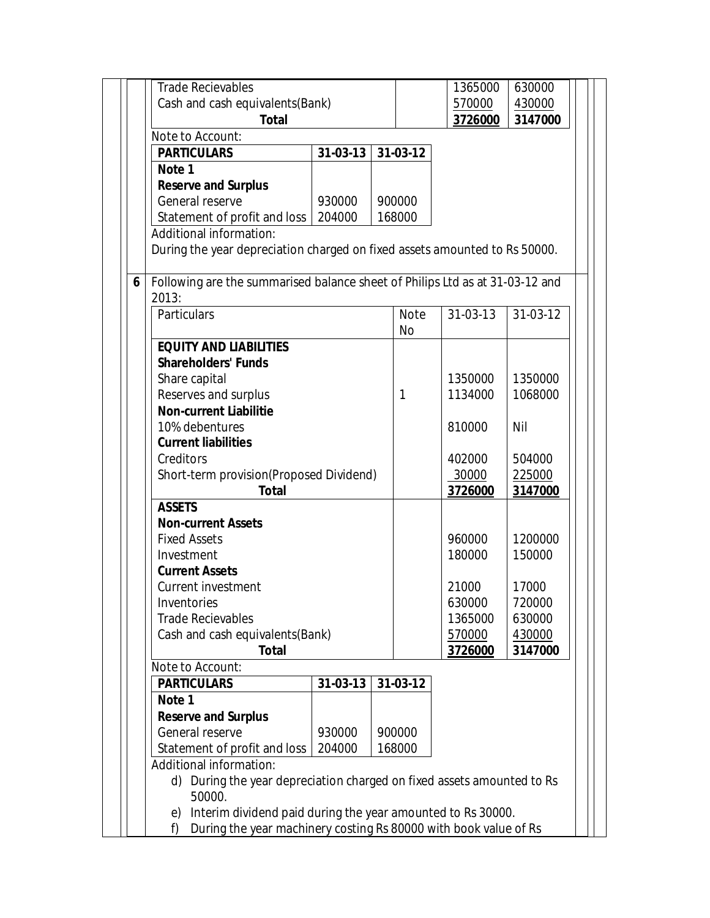| <b>Trade Recievables</b>                                                     |                |         |             | 1365000            |                   |  |  |  |
|------------------------------------------------------------------------------|----------------|---------|-------------|--------------------|-------------------|--|--|--|
|                                                                              |                |         |             |                    | 630000            |  |  |  |
| Cash and cash equivalents(Bank)                                              |                |         |             | 570000             | 430000<br>3147000 |  |  |  |
| <b>Total</b>                                                                 |                |         |             | 3726000            |                   |  |  |  |
| Note to Account:                                                             |                |         |             |                    |                   |  |  |  |
| <b>PARTICULARS</b>                                                           | 31-03-13       |         | 31-03-12    |                    |                   |  |  |  |
| Note 1                                                                       |                |         |             |                    |                   |  |  |  |
| <b>Reserve and Surplus</b>                                                   |                |         |             |                    |                   |  |  |  |
| General reserve                                                              | 930000         |         | 900000      |                    |                   |  |  |  |
| Statement of profit and loss                                                 | 204000         |         | 168000      |                    |                   |  |  |  |
| Additional information:                                                      |                |         |             |                    |                   |  |  |  |
| During the year depreciation charged on fixed assets amounted to Rs 50000.   |                |         |             |                    |                   |  |  |  |
| Following are the summarised balance sheet of Philips Ltd as at 31-03-12 and |                |         |             |                    |                   |  |  |  |
| 2013:                                                                        |                |         |             |                    |                   |  |  |  |
| Particulars                                                                  |                |         | <b>Note</b> | 31-03-13           | 31-03-12          |  |  |  |
|                                                                              |                |         | <b>No</b>   |                    |                   |  |  |  |
| <b>EQUITY AND LIABILITIES</b>                                                |                |         |             |                    |                   |  |  |  |
| <b>Shareholders' Funds</b>                                                   |                |         |             |                    |                   |  |  |  |
| Share capital                                                                |                |         |             | 1350000            | 1350000           |  |  |  |
| Reserves and surplus                                                         | $\mathbf{1}$   | 1134000 | 1068000     |                    |                   |  |  |  |
| <b>Non-current Liabilitie</b>                                                |                |         |             |                    |                   |  |  |  |
| 10% debentures                                                               |                | 810000  | Nil         |                    |                   |  |  |  |
| <b>Current liabilities</b>                                                   |                |         |             |                    |                   |  |  |  |
| Creditors                                                                    |                |         |             | 402000             | 504000            |  |  |  |
| Short-term provision(Proposed Dividend)                                      |                |         |             | 30000              | 225000            |  |  |  |
| <b>Total</b>                                                                 |                |         |             | 3726000            | 3147000           |  |  |  |
| <b>ASSETS</b>                                                                |                |         |             |                    |                   |  |  |  |
| <b>Non-current Assets</b>                                                    |                |         |             |                    |                   |  |  |  |
| <b>Fixed Assets</b>                                                          |                |         |             | 960000             | 1200000           |  |  |  |
| Investment                                                                   |                |         |             | 180000             | 150000            |  |  |  |
| <b>Current Assets</b>                                                        |                |         |             |                    |                   |  |  |  |
| Current investment                                                           |                |         |             | 21000              | 17000             |  |  |  |
| Inventories                                                                  |                | 630000  | 720000      |                    |                   |  |  |  |
| <b>Trade Recievables</b>                                                     |                |         |             | 1365000            | 630000            |  |  |  |
| Cash and cash equivalents(Bank)                                              |                |         |             | 570000             | 430000            |  |  |  |
| <b>Total</b>                                                                 |                |         |             | 3726000<br>3147000 |                   |  |  |  |
| Note to Account:                                                             |                |         |             |                    |                   |  |  |  |
| <b>PARTICULARS</b><br>Note 1                                                 | $31 - 03 - 13$ |         | 31-03-12    |                    |                   |  |  |  |
| <b>Reserve and Surplus</b>                                                   |                |         |             |                    |                   |  |  |  |
| General reserve                                                              | 930000         |         | 900000      |                    |                   |  |  |  |
| Statement of profit and loss                                                 | 204000         |         | 168000      |                    |                   |  |  |  |
| Additional information:                                                      |                |         |             |                    |                   |  |  |  |
| During the year depreciation charged on fixed assets amounted to Rs<br>d)    |                |         |             |                    |                   |  |  |  |
| 50000.                                                                       |                |         |             |                    |                   |  |  |  |
| Interim dividend paid during the year amounted to Rs 30000.<br>e)            |                |         |             |                    |                   |  |  |  |
| During the year machinery costing Rs 80000 with book value of Rs<br>f)       |                |         |             |                    |                   |  |  |  |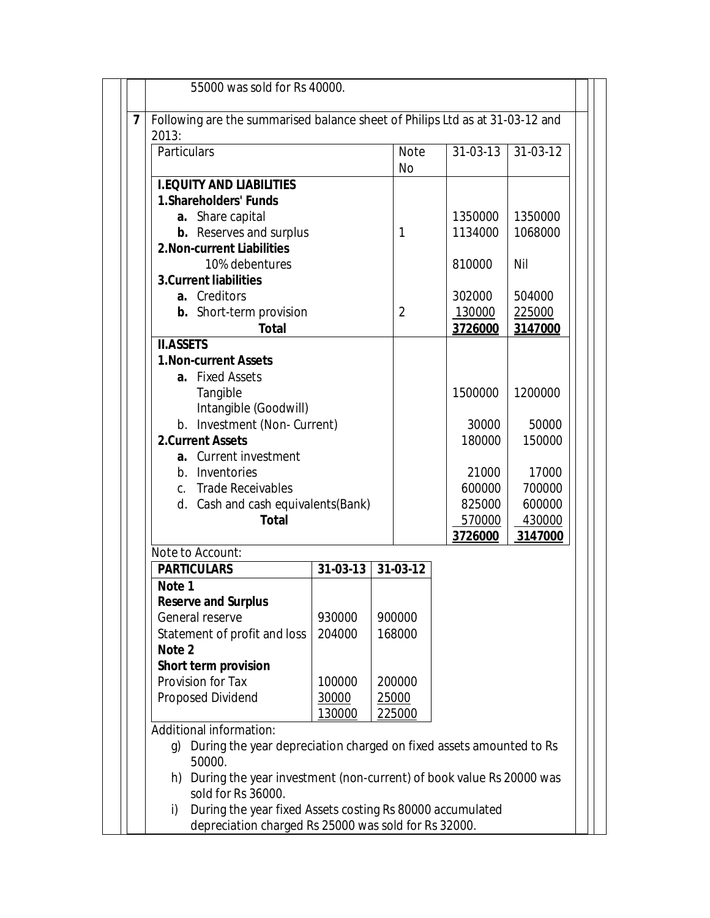| 2013:<br>Particulars                                                                |                |       | <b>Note</b>    | 31-03-13 | $31-03-12$ |  |  |
|-------------------------------------------------------------------------------------|----------------|-------|----------------|----------|------------|--|--|
|                                                                                     |                |       | No             |          |            |  |  |
| <b>I.EQUITY AND LIABILITIES</b>                                                     |                |       |                |          |            |  |  |
| <b>1.Shareholders' Funds</b>                                                        |                |       |                |          |            |  |  |
| a. Share capital                                                                    |                |       |                | 1350000  | 1350000    |  |  |
| <b>b.</b> Reserves and surplus                                                      |                |       | 1              | 1134000  | 1068000    |  |  |
| <b>2. Non-current Liabilities</b>                                                   |                |       |                |          |            |  |  |
| 10% debentures                                                                      |                |       |                | 810000   | Nil        |  |  |
| <b>3. Current liabilities</b>                                                       |                |       |                |          |            |  |  |
| a. Creditors                                                                        |                |       |                | 302000   | 504000     |  |  |
| <b>b.</b> Short-term provision                                                      |                |       | $\overline{2}$ | 130000   | 225000     |  |  |
| <b>Total</b>                                                                        |                |       |                | 3726000  | 3147000    |  |  |
| <b>II.ASSETS</b><br><b>1. Non-current Assets</b>                                    |                |       |                |          |            |  |  |
| a. Fixed Assets                                                                     |                |       |                |          |            |  |  |
| Tangible                                                                            |                |       |                | 1500000  | 1200000    |  |  |
| Intangible (Goodwill)                                                               |                |       |                |          |            |  |  |
| b. Investment (Non-Current)                                                         |                |       |                | 30000    | 50000      |  |  |
| <b>2.Current Assets</b>                                                             |                |       |                | 180000   | 150000     |  |  |
| a. Current investment                                                               |                |       |                |          |            |  |  |
| b. Inventories                                                                      |                |       | 21000          | 17000    |            |  |  |
| c. Trade Receivables                                                                |                |       | 600000         | 700000   |            |  |  |
| d. Cash and cash equivalents(Bank)                                                  |                |       |                | 825000   | 600000     |  |  |
| <b>Total</b>                                                                        |                |       |                | 570000   | 430000     |  |  |
|                                                                                     |                |       |                | 3726000  | 3147000    |  |  |
| Note to Account:<br><b>PARTICULARS</b>                                              | $31 - 03 - 13$ |       | 31-03-12       |          |            |  |  |
| Note 1                                                                              |                |       |                |          |            |  |  |
| <b>Reserve and Surplus</b>                                                          |                |       |                |          |            |  |  |
| General reserve                                                                     | 930000         |       | 900000         |          |            |  |  |
| Statement of profit and loss                                                        | 204000         |       | 168000         |          |            |  |  |
| Note 2                                                                              |                |       |                |          |            |  |  |
| <b>Short term provision</b>                                                         |                |       |                |          |            |  |  |
| Provision for Tax                                                                   | 100000         |       | 200000         |          |            |  |  |
| Proposed Dividend                                                                   | 30000          | 25000 |                |          |            |  |  |
|                                                                                     | 130000         |       | 225000         |          |            |  |  |
| Additional information:                                                             |                |       |                |          |            |  |  |
| During the year depreciation charged on fixed assets amounted to Rs<br>q)<br>50000. |                |       |                |          |            |  |  |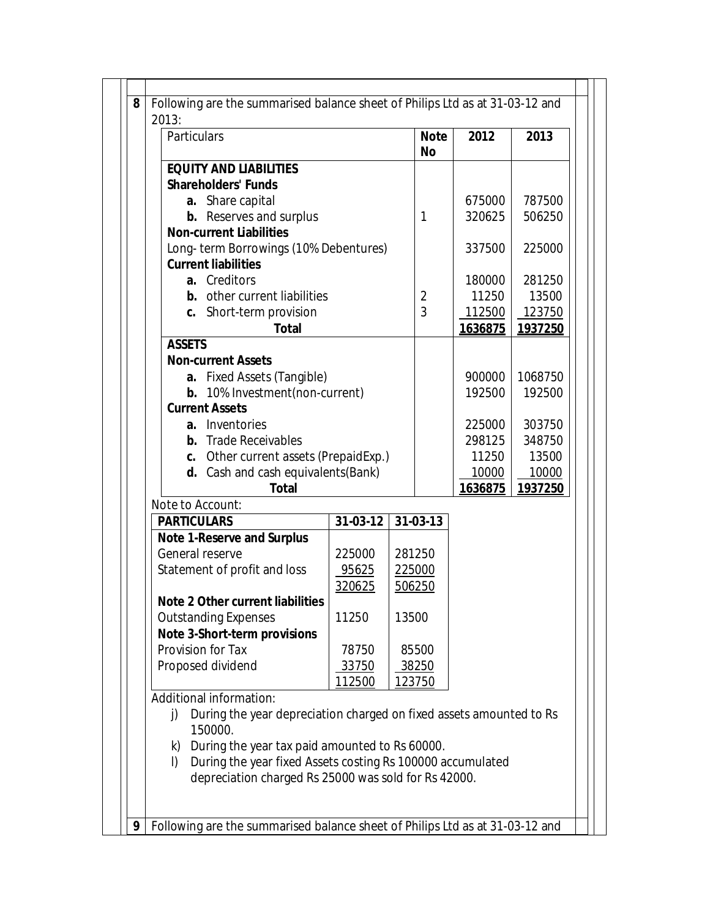| Particulars                                                               |                |        | <b>Note</b><br><b>No</b> | 2012    | 2013    |
|---------------------------------------------------------------------------|----------------|--------|--------------------------|---------|---------|
| <b>EQUITY AND LIABILITIES</b>                                             |                |        |                          |         |         |
| <b>Shareholders' Funds</b>                                                |                |        |                          |         |         |
| a. Share capital                                                          |                |        |                          | 675000  | 787500  |
| <b>b.</b> Reserves and surplus                                            |                |        |                          | 320625  | 506250  |
| <b>Non-current Liabilities</b>                                            |                |        |                          |         |         |
| Long-term Borrowings (10% Debentures)                                     |                |        |                          | 337500  | 225000  |
| <b>Current liabilities</b>                                                |                |        |                          |         |         |
| a. Creditors                                                              |                |        |                          | 180000  | 281250  |
| <b>b.</b> other current liabilities                                       |                |        | $\overline{2}$           | 11250   | 13500   |
| c. Short-term provision                                                   |                |        | 3                        | 112500  | 123750  |
| <b>Total</b><br><b>ASSETS</b>                                             |                |        |                          | 1636875 | 1937250 |
| <b>Non-current Assets</b>                                                 |                |        |                          |         |         |
| a. Fixed Assets (Tangible)                                                |                |        | 900000                   | 1068750 |         |
| <b>b.</b> 10% Investment(non-current)                                     |                |        | 192500                   | 192500  |         |
| <b>Current Assets</b>                                                     |                |        |                          |         |         |
| Inventories<br>a.                                                         |                |        | 225000                   | 303750  |         |
| <b>b.</b> Trade Receivables                                               |                |        |                          | 298125  | 348750  |
| c. Other current assets (PrepaidExp.)                                     |                |        |                          | 11250   | 13500   |
| d. Cash and cash equivalents (Bank)                                       |                |        |                          | 10000   | 10000   |
| <b>Total</b>                                                              |                |        |                          | 1636875 | 1937250 |
| Note to Account:                                                          |                |        |                          |         |         |
| <b>PARTICULARS</b>                                                        | $31 - 03 - 12$ |        | 31-03-13                 |         |         |
| <b>Note 1-Reserve and Surplus</b>                                         |                |        |                          |         |         |
| General reserve                                                           | 225000         | 281250 |                          |         |         |
| Statement of profit and loss                                              | 95625          |        | 225000                   |         |         |
|                                                                           | 320625         |        | 506250                   |         |         |
| <b>Note 2 Other current liabilities</b>                                   |                |        |                          |         |         |
| <b>Outstanding Expenses</b>                                               | 11250          | 13500  |                          |         |         |
| Note 3-Short-term provisions<br>Provision for Tax                         | 78750          |        | 85500                    |         |         |
| Proposed dividend                                                         | 33750          |        | 38250                    |         |         |
|                                                                           | 112500         |        | 123750                   |         |         |
| Additional information:                                                   |                |        |                          |         |         |
| During the year depreciation charged on fixed assets amounted to Rs<br>j) |                |        |                          |         |         |
| 150000.                                                                   |                |        |                          |         |         |
| During the year tax paid amounted to Rs 60000.<br>k)                      |                |        |                          |         |         |
| During the year fixed Assets costing Rs 100000 accumulated<br>$\vert$     |                |        |                          |         |         |
| depreciation charged Rs 25000 was sold for Rs 42000.                      |                |        |                          |         |         |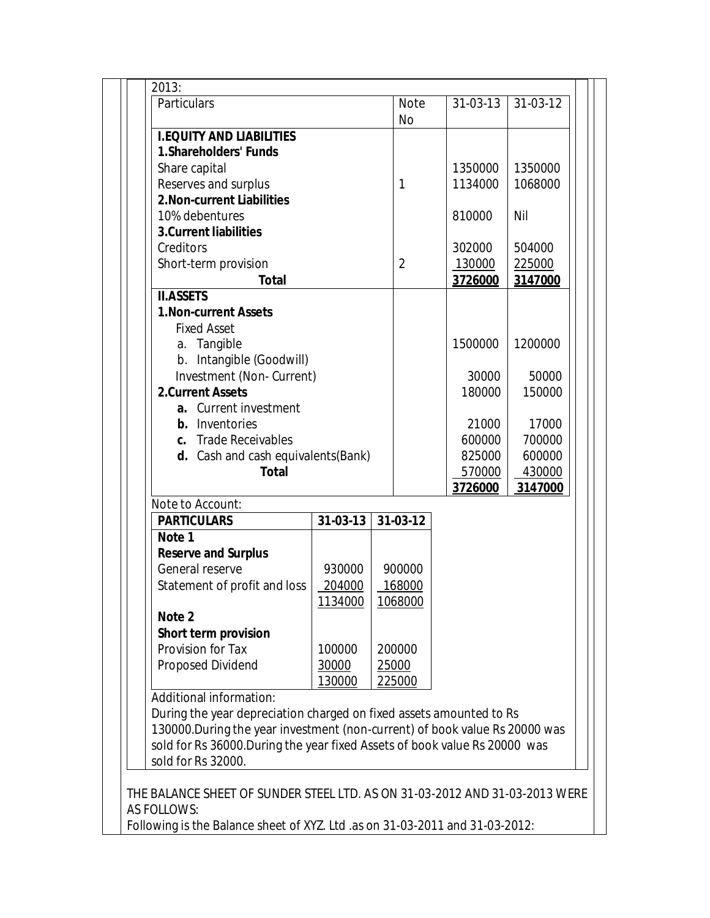| Particulars                                                                 |                  |  | <b>Note</b>    | 31-03-13 | 31-03-12 |
|-----------------------------------------------------------------------------|------------------|--|----------------|----------|----------|
|                                                                             |                  |  | <b>No</b>      |          |          |
| <b>I.EQUITY AND LIABILITIES</b><br><b>1.Shareholders' Funds</b>             |                  |  |                |          |          |
|                                                                             |                  |  |                | 1350000  | 1350000  |
| Share capital                                                               |                  |  | 1              | 1134000  | 1068000  |
| Reserves and surplus<br>2. Non-current Liabilities                          |                  |  |                |          |          |
| 10% debentures                                                              |                  |  |                | 810000   | Nil      |
| <b>3.Current liabilities</b>                                                |                  |  |                |          |          |
| Creditors                                                                   |                  |  |                | 302000   | 504000   |
| Short-term provision                                                        |                  |  | $\overline{2}$ | 130000   | 225000   |
| <b>Total</b>                                                                |                  |  |                | 3726000  | 3147000  |
| <b>II.ASSETS</b>                                                            |                  |  |                |          |          |
| <b>1. Non-current Assets</b>                                                |                  |  |                |          |          |
| <b>Fixed Asset</b>                                                          |                  |  |                |          |          |
| a. Tangible                                                                 |                  |  |                | 1500000  | 1200000  |
| b. Intangible (Goodwill)                                                    |                  |  |                |          |          |
| Investment (Non-Current)                                                    |                  |  |                | 30000    | 50000    |
| <b>2.Current Assets</b>                                                     |                  |  |                | 180000   | 150000   |
| a. Current investment                                                       |                  |  |                |          |          |
| <b>b.</b> Inventories                                                       |                  |  |                | 21000    | 17000    |
| c. Trade Receivables                                                        |                  |  |                | 600000   | 700000   |
| d. Cash and cash equivalents (Bank)                                         |                  |  |                | 825000   | 600000   |
| <b>Total</b>                                                                |                  |  |                | 570000   | 430000   |
|                                                                             |                  |  |                | 3726000  | 3147000  |
| Note to Account:                                                            |                  |  |                |          |          |
| <b>PARTICULARS</b>                                                          | $31 - 03 - 13$   |  | 31-03-12       |          |          |
| Note 1                                                                      |                  |  |                |          |          |
| <b>Reserve and Surplus</b><br>General reserve                               | 930000           |  | 900000         |          |          |
| Statement of profit and loss                                                | 204000           |  | 168000         |          |          |
|                                                                             | 1134000          |  | 1068000        |          |          |
| Note 2                                                                      |                  |  |                |          |          |
| <b>Short term provision</b>                                                 |                  |  |                |          |          |
| Provision for Tax                                                           | 100000<br>200000 |  |                |          |          |
| <b>Proposed Dividend</b>                                                    | 30000            |  | 25000          |          |          |
|                                                                             | 130000           |  | 225000         |          |          |
| Additional information:                                                     |                  |  |                |          |          |
| During the year depreciation charged on fixed assets amounted to Rs         |                  |  |                |          |          |
| 130000. During the year investment (non-current) of book value Rs 20000 was |                  |  |                |          |          |
| sold for Rs 36000. During the year fixed Assets of book value Rs 20000 was  |                  |  |                |          |          |
| sold for Rs 32000.                                                          |                  |  |                |          |          |
|                                                                             |                  |  |                |          |          |
| THE BALANCE SHEET OF SUNDER STEEL LTD. AS ON 31-03-2012 AND 31-03-2013 WERE |                  |  |                |          |          |